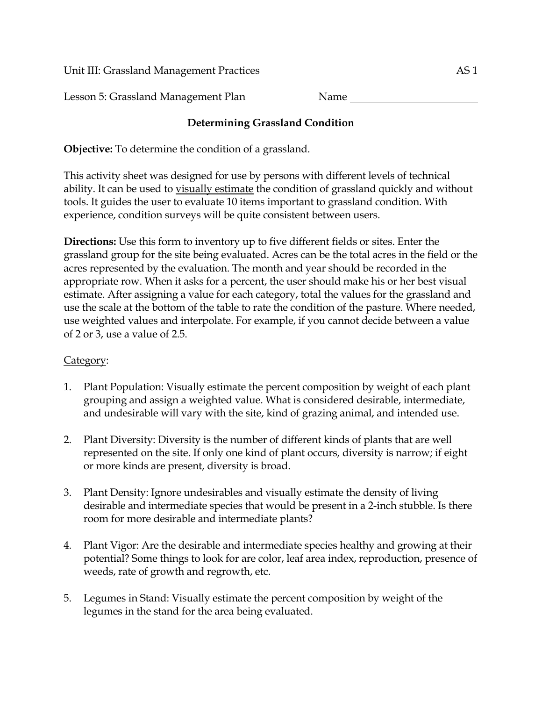Unit III: Grassland Management Practices AS 1

Lesson 5: Grassland Management Plan Name

## **Determining Grassland Condition**

**Objective:** To determine the condition of a grassland.

This activity sheet was designed for use by persons with different levels of technical ability. It can be used to visually estimate the condition of grassland quickly and without tools. It guides the user to evaluate 10 items important to grassland condition. With experience, condition surveys will be quite consistent between users.

**Directions:** Use this form to inventory up to five different fields or sites. Enter the grassland group for the site being evaluated. Acres can be the total acres in the field or the acres represented by the evaluation. The month and year should be recorded in the appropriate row. When it asks for a percent, the user should make his or her best visual estimate. After assigning a value for each category, total the values for the grassland and use the scale at the bottom of the table to rate the condition of the pasture. Where needed, use weighted values and interpolate. For example, if you cannot decide between a value of 2 or 3, use a value of 2.5.

## Category:

- 1. Plant Population: Visually estimate the percent composition by weight of each plant grouping and assign a weighted value. What is considered desirable, intermediate, and undesirable will vary with the site, kind of grazing animal, and intended use.
- 2. Plant Diversity: Diversity is the number of different kinds of plants that are well represented on the site. If only one kind of plant occurs, diversity is narrow; if eight or more kinds are present, diversity is broad.
- 3. Plant Density: Ignore undesirables and visually estimate the density of living desirable and intermediate species that would be present in a 2-inch stubble. Is there room for more desirable and intermediate plants?
- 4. Plant Vigor: Are the desirable and intermediate species healthy and growing at their potential? Some things to look for are color, leaf area index, reproduction, presence of weeds, rate of growth and regrowth, etc.
- 5. Legumes in Stand: Visually estimate the percent composition by weight of the legumes in the stand for the area being evaluated.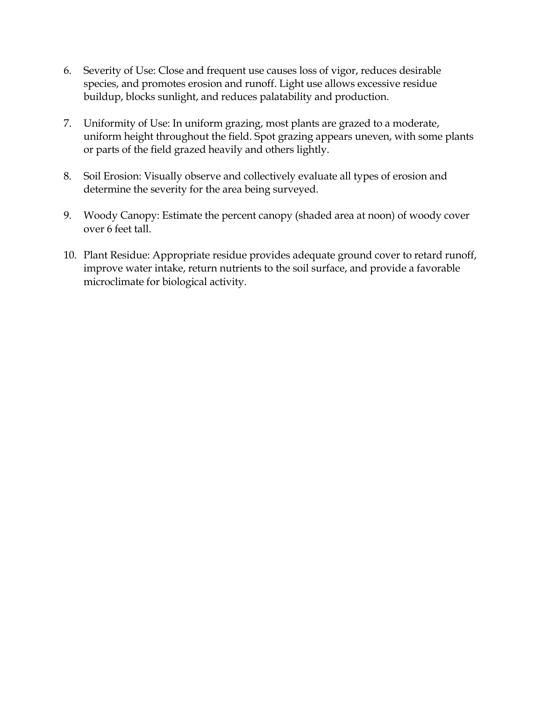- 6. Severity of Use: Close and frequent use causes loss of vigor, reduces desirable species, and promotes erosion and runoff. Light use allows excessive residue buildup, blocks sunlight, and reduces palatability and production.
- 7. Uniformity of Use: In uniform grazing, most plants are grazed to a moderate, uniform height throughout the field. Spot grazing appears uneven, with some plants or parts of the field grazed heavily and others lightly.
- 8. Soil Erosion: Visually observe and collectively evaluate all types of erosion and determine the severity for the area being surveyed.
- 9. Woody Canopy: Estimate the percent canopy (shaded area at noon) of woody cover over 6 feet tall.
- 10. Plant Residue: Appropriate residue provides adequate ground cover to retard runoff, improve water intake, return nutrients to the soil surface, and provide a favorable microclimate for biological activity.